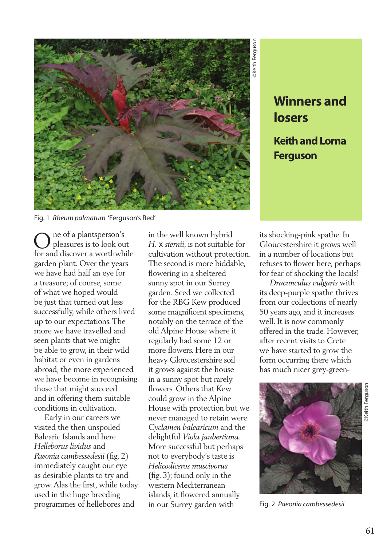

Fig. 1 *Rheum palmatum* 'Ferguson's Red'

ne of a plantsperson's pleasures is to look out **C** pleasures is to look out<br>for and discover a worthwhile garden plant. Over the years we have had half an eye for a treasure; of course, some of what we hoped would be just that turned out less successfully, while others lived up to our expectations. The more we have travelled and seen plants that we might be able to grow, in their wild habitat or even in gardens abroad, the more experienced we have become in recognising those that might succeed and in offering them suitable conditions in cultivation.

 Early in our careers we visited the then unspoiled Balearic Islands and here *Helleborus lividus* and *Paeonia cambessedesii* (fig. 2) immediately caught our eye as desirable plants to try and grow. Alas the first, while today used in the huge breeding programmes of hellebores and

in the well known hybrid *H.* x *sternii*, is not suitable for cultivation without protection. The second is more biddable, flowering in a sheltered sunny spot in our Surrey garden. Seed we collected for the RBG Kew produced some magnificent specimens, notably on the terrace of the old Alpine House where it regularly had some 12 or more flowers. Here in our heavy Gloucestershire soil it grows against the house in a sunny spot but rarely flowers. Others that Kew could grow in the Alpine House with protection but we never managed to retain were *Cyclamen balearicum* and the delightful *Viola jaubertiana*. More successful but perhaps not to everybody's taste is *Helicodiceros muscivorus*  (fig. 3); found only in the western Mediterranean islands, it flowered annually in our Surrey garden with

## **losers**

## **Keith and Lorna Ferguson**

its shocking-pink spathe. In Gloucestershire it grows well in a number of locations but refuses to flower here, perhaps for fear of shocking the locals!

 *Dracunculus vulgaris* with its deep-purple spathe thrives from our collections of nearly 50 years ago, and it increases well. It is now commonly offered in the trade. However, after recent visits to Crete we have started to grow the form occurring there which has much nicer grey-green-



Fig. 2 *Paeonia cambessedesii*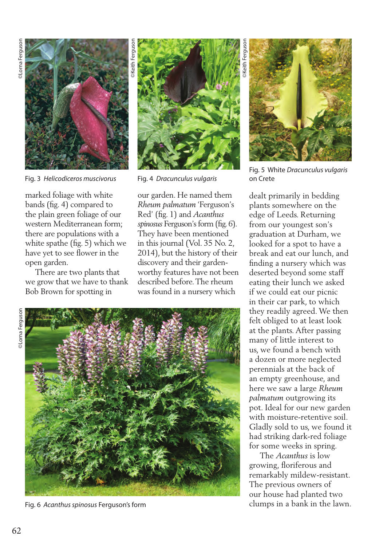

Fig. 3 *Helicodiceros muscivorus* Fig. 4 *Dracunculus vulgaris* 

marked foliage with white bands (fig. 4) compared to the plain green foliage of our western Mediterranean form; there are populations with a white spathe (fig. 5) which we have yet to see flower in the open garden.

 There are two plants that we grow that we have to thank Bob Brown for spotting in



our garden. He named them *Rheum palmatum* 'Ferguson's Red' (fig. 1) and *Acanthus spinosus* Ferguson's form (fig. 6). They have been mentioned in this journal (Vol. 35 No. 2, 2014), but the history of their discovery and their gardenworthy features have not been described before. The rheum was found in a nursery which

**OLorna** Ferguson ©Lorna Ferguson



Fig. 6 *Acanthus spinosus* Ferguson's form

©Keith Ferguson Keith Ferauso

Fig. 5 White *Dracunculus vulgaris*  on Crete

dealt primarily in bedding plants somewhere on the edge of Leeds. Returning from our youngest son's graduation at Durham, we looked for a spot to have a break and eat our lunch, and finding a nursery which was deserted beyond some staff eating their lunch we asked if we could eat our picnic in their car park, to which they readily agreed. We then felt obliged to at least look at the plants. After passing many of little interest to us, we found a bench with a dozen or more neglected perennials at the back of an empty greenhouse, and here we saw a large *Rheum palmatum* outgrowing its pot. Ideal for our new garden with moisture-retentive soil. Gladly sold to us, we found it had striking dark-red foliage for some weeks in spring.

 The *Acanthus* is low growing, floriferous and remarkably mildew-resistant. The previous owners of our house had planted two clumps in a bank in the lawn.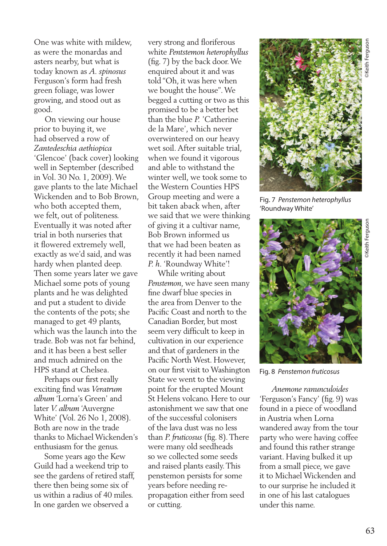One was white with mildew, as were the monardas and asters nearby, but what is today known as *A. spinosus* Ferguson's form had fresh green foliage, was lower growing, and stood out as good.

 On viewing our house prior to buying it, we had observed a row of *Zantedeschia aethiopica*  'Glencoe' (back cover) looking well in September (described in Vol. 30 No. 1, 2009). We gave plants to the late Michael Wickenden and to Bob Brown, who both accepted them, we felt, out of politeness. Eventually it was noted after trial in both nurseries that it flowered extremely well, exactly as we'd said, and was hardy when planted deep. Then some years later we gave Michael some pots of young plants and he was delighted and put a student to divide the contents of the pots; she managed to get 49 plants, which was the launch into the trade. Bob was not far behind, and it has been a best seller and much admired on the HPS stand at Chelsea.

 Perhaps our first really exciting find was *Veratrum album* 'Lorna's Green' and later *V. album* 'Auvergne White' (Vol. 26 No 1, 2008). Both are now in the trade thanks to Michael Wickenden's enthusiasm for the genus.

 Some years ago the Kew Guild had a weekend trip to see the gardens of retired staff, there then being some six of us within a radius of 40 miles. In one garden we observed a

very strong and floriferous white *Pentstemon heterophyllus* (fig. 7) by the back door. We enquired about it and was told "Oh, it was here when we bought the house". We begged a cutting or two as this promised to be a better bet than the blue *P.* 'Catherine de la Mare', which never overwintered on our heavy wet soil. After suitable trial, when we found it vigorous and able to withstand the winter well, we took some to the Western Counties HPS Group meeting and were a bit taken aback when, after we said that we were thinking of giving it a cultivar name, Bob Brown informed us that we had been beaten as recently it had been named *P. h.* 'Roundway White'!

 While writing about *Penstemon,* we have seen many fine dwarf blue species in the area from Denver to the Pacific Coast and north to the Canadian Border, but most seem very difficult to keep in cultivation in our experience and that of gardeners in the Pacific North West. However, on our first visit to Washington State we went to the viewing point for the erupted Mount St Helens volcano. Here to our astonishment we saw that one of the successful colonisers of the lava dust was no less than *P. fruticosus* (fig. 8). There were many old seedheads so we collected some seeds and raised plants easily. This penstemon persists for some years before needing repropagation either from seed or cutting.



Fig. 7 *Penstemon heterophyllus* 'Roundway White'



Fig. 8 *Penstemon fruticosus* 

 *Anemone ranunculoides*  'Ferguson's Fancy' (fig. 9) was found in a piece of woodland in Austria when Lorna wandered away from the tour party who were having coffee and found this rather strange variant. Having bulked it up from a small piece, we gave it to Michael Wickenden and to our surprise he included it in one of his last catalogues under this name.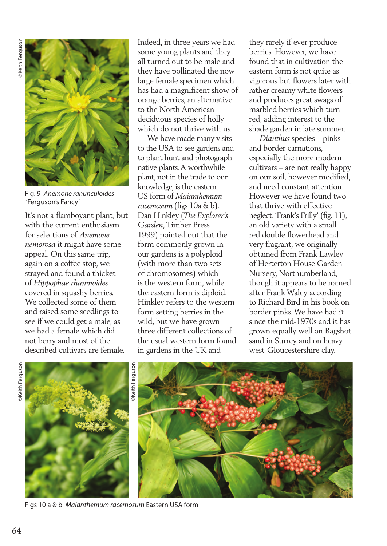

Fig. 9 *Anemone ranunculoides*  'Ferguson's Fancy'

It's not a flamboyant plant, but with the current enthusiasm for selections of *Anemone nemorosa* it might have some appeal. On this same trip, again on a coffee stop, we strayed and found a thicket of *Hippophae rhamnoides*  covered in squashy berries. We collected some of them and raised some seedlings to see if we could get a male, as we had a female which did not berry and most of the described cultivars are female.

Indeed, in three years we had some young plants and they all turned out to be male and they have pollinated the now large female specimen which has had a magnificent show of orange berries, an alternative to the North American deciduous species of holly which do not thrive with us.

 We have made many visits to the USA to see gardens and to plant hunt and photograph native plants. A worthwhile plant, not in the trade to our knowledge, is the eastern US form of *Maianthemum racemosum* (figs 10a & b). Dan Hinkley (*The Explorer's Garden*, Timber Press 1999) pointed out that the form commonly grown in our gardens is a polyploid (with more than two sets of chromosomes) which is the western form, while the eastern form is diploid. Hinkley refers to the western form setting berries in the wild, but we have grown three different collections of the usual western form found in gardens in the UK and

they rarely if ever produce berries. However, we have found that in cultivation the eastern form is not quite as vigorous but flowers later with rather creamy white flowers and produces great swags of marbled berries which turn red, adding interest to the shade garden in late summer.

 *Dianthus* species – pinks and border carnations, especially the more modern cultivars – are not really happy on our soil, however modified, and need constant attention. However we have found two that thrive with effective neglect. 'Frank's Frilly' (fig. 11), an old variety with a small red double flowerhead and very fragrant, we originally obtained from Frank Lawley of Herterton House Garden Nursery, Northumberland, though it appears to be named after Frank Waley according to Richard Bird in his book on border pinks. We have had it since the mid-1970s and it has grown equally well on Bagshot sand in Surrey and on heavy west-Gloucestershire clay.





Figs 10 a & b *Maianthemum racemosum* Eastern USA form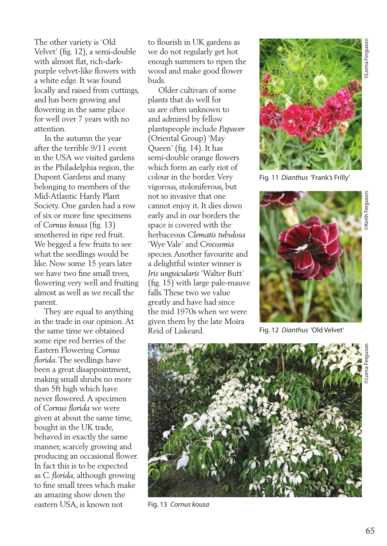The other variety is 'Old Velvet' (fig. 12), a semi-double with almost flat, rich-darkpurple velvet-like flowers with a white edge. It was found locally and raised from cuttings, and has been growing and flowering in the same place for well over 7 years with no attention.

 In the autumn the year after the terrible 9/11 event in the USA we visited gardens in the Philadelphia region, the Dupont Gardens and many belonging to members of the Mid-Atlantic Hardy Plant Society. One garden had a row of six or more fine specimens of *Cornus kousa* (fig. 13) smothered in ripe red fruit. We begged a few fruits to see what the seedlings would be like. Now some 15 years later we have two fine small trees, flowering very well and fruiting almost as well as we recall the parent.

 They are equal to anything in the trade in our opinion. At the same time we obtained some ripe red berries of the Eastern Flowering *Cornus florida*. The seedlings have been a great disappointment, making small shrubs no more than 5ft high which have never flowered. A specimen of *Cornus florida* we were given at about the same time, bought in the UK trade, behaved in exactly the same manner, scarcely growing and producing an occasional flower. In fact this is to be expected as *C. florida*, although growing to fine small trees which make an amazing show down the eastern USA, is known not

to flourish in UK gardens as we do not regularly get hot enough summers to ripen the wood and make good flower buds.

 Older cultivars of some plants that do well for us are often unknown to and admired by fellow plantspeople include *Papaver*  (Oriental Group) 'May Queen' (fig. 14). It has semi-double orange flowers which form an early riot of colour in the border. Very vigorous, stoloniferous, but not so invasive that one cannot enjoy it. It dies down early and in our borders the space is covered with the herbaceous *Clematis tubulosa* 'Wye Vale' and *Crocosmia*  species. Another favourite and a delightful winter winner is *Iris unguicularis* 'Walter Butt' (fig. 15) with large pale-mauve falls. These two we value greatly and have had since the mid 1970s when we were given them by the late Moira Reid of Liskeard.



Fig. 11 *Dianthus* 'Frank's Frilly'



Fig. 12 *Dianthus* 'Old Velvet'



Fig. 13 *Cornus kousa*